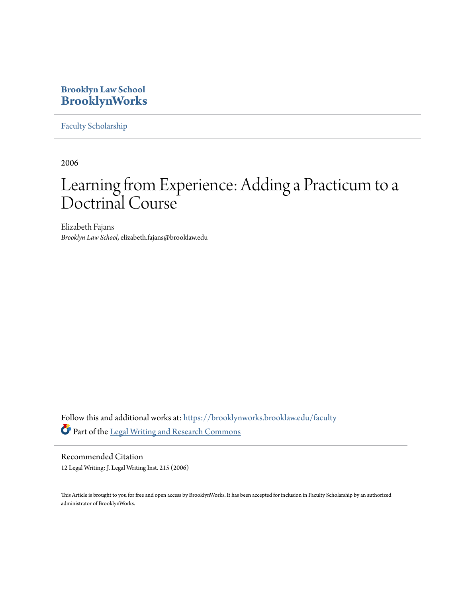# **Brooklyn Law School [BrooklynWorks](https://brooklynworks.brooklaw.edu?utm_source=brooklynworks.brooklaw.edu%2Ffaculty%2F109&utm_medium=PDF&utm_campaign=PDFCoverPages)**

[Faculty Scholarship](https://brooklynworks.brooklaw.edu/faculty?utm_source=brooklynworks.brooklaw.edu%2Ffaculty%2F109&utm_medium=PDF&utm_campaign=PDFCoverPages)

2006

# Learning from Experience: Adding a Practicum to a Doctrinal Course

Elizabeth Fajans *Brooklyn Law School*, elizabeth.fajans@brooklaw.edu

Follow this and additional works at: [https://brooklynworks.brooklaw.edu/faculty](https://brooklynworks.brooklaw.edu/faculty?utm_source=brooklynworks.brooklaw.edu%2Ffaculty%2F109&utm_medium=PDF&utm_campaign=PDFCoverPages) Part of the [Legal Writing and Research Commons](http://network.bepress.com/hgg/discipline/614?utm_source=brooklynworks.brooklaw.edu%2Ffaculty%2F109&utm_medium=PDF&utm_campaign=PDFCoverPages)

Recommended Citation 12 Legal Writing: J. Legal Writing Inst. 215 (2006)

This Article is brought to you for free and open access by BrooklynWorks. It has been accepted for inclusion in Faculty Scholarship by an authorized administrator of BrooklynWorks.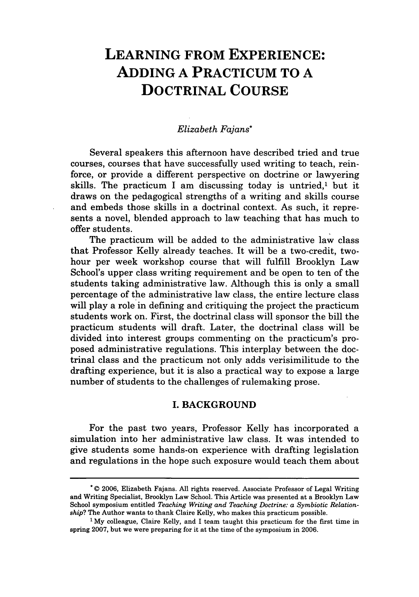# **LEARNING FROM EXPERIENCE: ADDING A PRACTICUM TO A DOCTRINAL COURSE**

#### *Elizabeth Fajans\**

Several speakers this afternoon have described tried and true courses, courses that have successfully used writing to teach, reinforce, or provide a different perspective on doctrine or lawyering skills. The practicum I am discussing today is untried,<sup>1</sup> but it draws on the pedagogical strengths of a writing and skills course and embeds those skills in a doctrinal context. As such, it represents a novel, blended approach to law teaching that has much to offer students.

The practicum will be added to the administrative law class that Professor Kelly already teaches. It will be a two-credit, twohour per week workshop course that will fulfill Brooklyn Law School's upper class writing requirement and be open to ten of the students taking administrative law. Although this is only a small percentage of the administrative law class, the entire lecture class will play a role in defining and critiquing the project the practicum students work on. First, the doctrinal class will sponsor the bill the practicum students will draft. Later, the doctrinal class will be divided into interest groups commenting on the practicum's proposed administrative regulations. This interplay between the doctrinal class and the practicum not only adds verisimilitude to the drafting experience, but it is also a practical way to expose a large number of students to the challenges of rulemaking prose.

#### **I. BACKGROUND**

For the past two years, Professor Kelly has incorporated a simulation into her administrative law class. It was intended to give students some hands-on experience with drafting legislation and regulations in the hope such exposure would teach them about

<sup>\* © 2006,</sup> Elizabeth Fajans. All rights reserved. Associate Professor of Legal Writing and Writing Specialist, Brooklyn Law School. This Article was presented at a Brooklyn Law School symposium entitled *Teaching Writing and Teaching Doctrine: a Symbiotic Relationship?* The Author wants to thank Claire Kelly, who makes this practicum possible.

<sup>&#</sup>x27; My colleague, Claire Kelly, and I team taught this practicum for the first time in spring 2007, but we were preparing for it at the time of the symposium in 2006.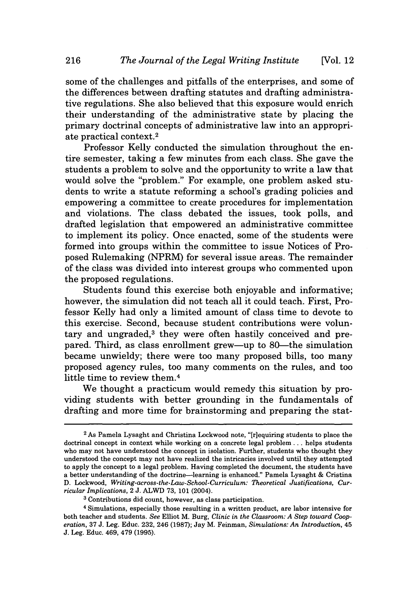some of the challenges and pitfalls of the enterprises, and some of the differences between drafting statutes and drafting administrative regulations. She also believed that this exposure would enrich their understanding of the administrative state by placing the primary doctrinal concepts of administrative law into an appropriate practical context.<sup>2</sup>

Professor Kelly conducted the simulation throughout the entire semester, taking a few minutes from each class. She gave the students a problem to solve and the opportunity to write a law that would solve the "problem." For example, one problem asked students to write a statute reforming a school's grading policies and empowering a committee to create procedures for implementation and violations. The class debated the issues, took polls, and drafted legislation that empowered an administrative committee to implement its policy. Once enacted, some of the students were formed into groups within the committee to issue Notices of Proposed Rulemaking (NPRM) for several issue areas. The remainder of the class was divided into interest groups who commented upon the proposed regulations.

Students found this exercise both enjoyable and informative; however, the simulation did not teach all it could teach. First, Professor Kelly had only a limited amount of class time to devote to this exercise. Second, because student contributions were voluntary and ungraded,<sup>3</sup> they were often hastily conceived and prepared. Third, as class enrollment grew—up to 80—the simulation became unwieldy; there were too many proposed bills, too many proposed agency rules, too many comments on the rules, and too little time to review them.4

We thought a practicum would remedy this situation by providing students with better grounding in the fundamentals of drafting and more time for brainstorming and preparing the stat-

<sup>2</sup> As Pamela Lysaght and Christina Lockwood note, "[r]equiring students to place the doctrinal concept in context while working on a concrete legal problem.., helps students who may not have understood the concept in isolation. Further, students who thought they understood the concept may not have realized the intricacies involved until they attempted to apply the concept to a legal problem. Having completed the document, the students have a better understanding of the doctrine-learning is enhanced." Pamela Lysaght & Cristina D. Lockwood, *Writing-across-the-Law-School-Curriculum: Theoretical Justifications, Curricular Implications,* 2 J. ALWD 73, 101 (2004).

**<sup>3</sup>** Contributions did count, however, as class participation.

<sup>4</sup> Simulations, especially those resulting in a written product, are labor intensive for both teacher and students. *See* Elliot M. Burg, *Clinic in the Classroom: A Step toward Cooperation,* 37 J. Leg. Educ. 232, 246 (1987); Jay M. Feinman, *Simulations: An Introduction,* 45 J. Leg. Educ. 469, 479 (1995).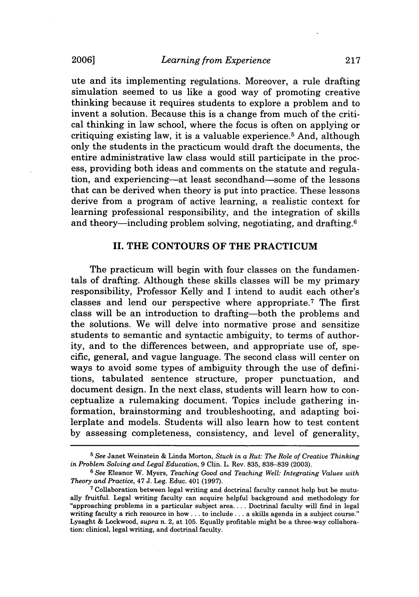ute and its implementing regulations. Moreover, a rule drafting simulation seemed to us like a good way of promoting creative thinking because it requires students to explore a problem and to invent a solution. Because this is a change from much of the critical thinking in law school, where the focus is often on applying or critiquing existing law, it is a valuable experience.<sup>5</sup> And, although only the students in the practicum would draft the documents, the entire administrative law class would still participate in the process, providing both ideas and comments on the statute and regulation, and experiencing-at least secondhand-some of the lessons that can be derived when theory is put into practice. These lessons derive from a program of active learning, a realistic context for learning professional responsibility, and the integration of skills and theory—including problem solving, negotiating, and drafting. $6$ 

#### **II. THE CONTOURS OF THE PRACTICUM**

The practicum will begin with four classes on the fundamentals of drafting. Although these skills classes will be my primary responsibility, Professor Kelly and I intend to audit each other's classes and lend our perspective where appropriate.7 The first class will be an introduction to drafting-both the problems and the solutions. We will delve into normative prose and sensitize students to semantic and syntactic ambiguity, to terms of authority, and to the differences between, and appropriate use of, specific, general, and vague language. The second class will center on ways to avoid some types of ambiguity through the use of definitions, tabulated sentence structure, proper punctuation, and document design. In the next class, students will learn how to conceptualize a rulemaking document. Topics include gathering information, brainstorming and troubleshooting, and adapting boilerplate and models. Students will also learn how to test content by assessing completeness, consistency, and level of generality,

**<sup>5</sup>** See Janet Weinstein & Linda Morton, *Stuck in a Rut: The Role of Creative Thinking in Problem Solving and Legal Education,* 9 Clin. L. Rev. 835, 838-839 (2003).

**<sup>6</sup>** See Eleanor W. Myers, *Teaching Good and Teaching Well: Integrating Values with Theory and Practice,* 47 J. Leg. Educ. 401 (1997).

**<sup>7</sup>** Collaboration between legal writing and doctrinal faculty cannot help but be mutually fruitful. Legal writing faculty can acquire helpful background and methodology for "approaching problems in a particular subject area .... Doctrinal faculty will find in legal writing faculty a rich resource in how... to include... a skills agenda in a subject course." Lysaght & Lockwood, *supra* n. 2, at 105. Equally profitable might be a three-way collaboration: clinical, legal writing, and doctrinal faculty.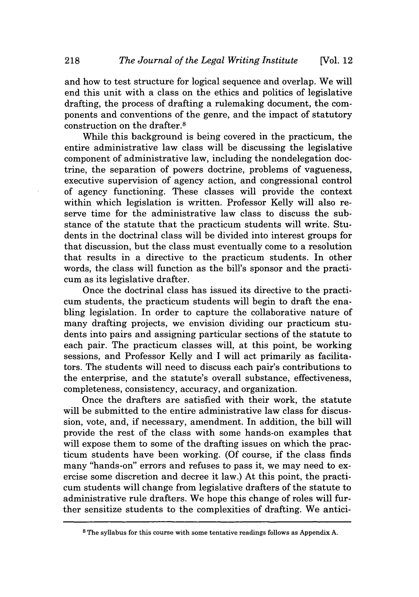and how to test structure for logical sequence and overlap. We will end this unit with a class on the ethics and politics of legislative drafting, the process of drafting a rulemaking document, the components and conventions of the genre, and the impact of statutory construction on the drafter.8

While this background is being covered in the practicum, the entire administrative law class will be discussing the legislative component of administrative law, including the nondelegation doctrine, the separation of powers doctrine, problems of vagueness, executive supervision of agency action, and congressional control of agency functioning. These classes will provide the context within which legislation is written. Professor Kelly will also reserve time for the administrative law class to discuss the substance of the statute that the practicum students will write. Students in the doctrinal class will be divided into interest groups for that discussion, but the class must eventually come to a resolution that results in a directive to the practicum students. In other words, the class will function as the bill's sponsor and the practicum as its legislative drafter.

Once the doctrinal class has issued its directive to the practicum students, the practicum students will begin to draft the enabling legislation. In order to capture the collaborative nature of many drafting projects, we envision dividing our practicum students into pairs and assigning particular sections of the statute to each pair. The practicum classes will, at this point, be working sessions, and Professor Kelly and I will act primarily as facilitators. The students will need to discuss each pair's contributions to the enterprise, and the statute's overall substance, effectiveness, completeness, consistency, accuracy, and organization.

Once the drafters are satisfied with their work, the statute will be submitted to the entire administrative law class for discussion, vote, and, if necessary, amendment. In addition, the bill will provide the rest of the class with some hands-on examples that will expose them to some of the drafting issues on which the practicum students have been working. (Of course, if the class finds many "hands-on" errors and refuses to pass it, we may need to exercise some discretion and decree it law.) At this point, the practicum students will change from legislative drafters of the statute to administrative rule drafters. We hope this change of roles will further sensitize students to the complexities of drafting. We antici-

**<sup>8</sup>** The syllabus for this course with some tentative readings follows as Appendix A.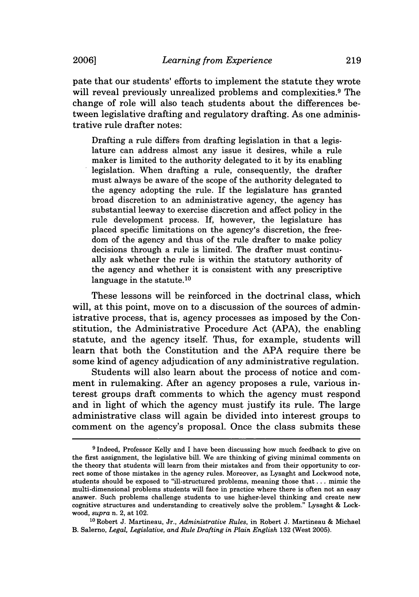pate that our students' efforts to implement the statute they wrote will reveal previously unrealized problems and complexities.<sup>9</sup> The change of role will also teach students about the differences between legislative drafting and regulatory drafting. As one administrative rule drafter notes:

Drafting a rule differs from drafting legislation in that a legislature can address almost any issue it desires, while a rule maker is limited to the authority delegated to it by its enabling legislation. When drafting a rule, consequently, the drafter must always be aware of the scope of the authority delegated to the agency adopting the rule. If the legislature has granted broad discretion to an administrative agency, the agency has substantial leeway to exercise discretion and affect policy in the rule development process. If, however, the legislature has placed specific limitations on the agency's discretion, the freedom of the agency and thus of the rule drafter to make policy decisions through a rule is limited. The drafter must continually ask whether the rule is within the statutory authority of the agency and whether it is consistent with any prescriptive language in the statute.<sup>10</sup>

These lessons will be reinforced in the doctrinal class, which will, at this point, move on to a discussion of the sources of administrative process, that is, agency processes as imposed by the Constitution, the Administrative Procedure Act (APA), the enabling statute, and the agency itself. Thus, for example, students will learn that both the Constitution and the APA require there be some kind of agency adjudication of any administrative regulation.

Students will also learn about the process of notice and comment in rulemaking. After an agency proposes a rule, various interest groups draft comments to which the agency must respond and in light of which the agency must justify its rule. The large administrative class will again be divided into interest groups to comment on the agency's proposal. Once the class submits these

**<sup>10</sup>**Robert J. Martineau, Jr., *Administrative Rules,* in Robert J. Martineau & Michael B. Salerno, *Legal, Legislative, and Rule Drafting in Plain English* 132 (West 2005).

**<sup>9</sup>** Indeed, Professor Kelly and I have been discussing how much feedback to give on the first assignment, the legislative bill. We are thinking of giving minimal comments on the theory that students will learn from their mistakes and from their opportunity to correct some of those mistakes in the agency rules. Moreover, as Lysaght and Lockwood note, students should be exposed to "ill-structured problems, meaning those that... mimic the multi-dimensional problems students will face in practice where there is often not an easy answer. Such problems challenge students to use higher-level thinking and create new cognitive structures and understanding to creatively solve the problem." Lysaght & Lockwood, *supra* n. 2, at 102.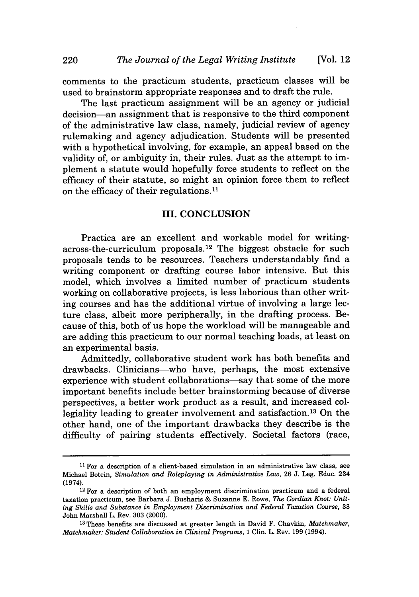comments to the practicum students, practicum classes will be used to brainstorm appropriate responses and to draft the rule.

The last practicum assignment will be an agency or judicial decision-an assignment that is responsive to the third component of the administrative law class, namely, judicial review of agency rulemaking and agency adjudication. Students will be presented with a hypothetical involving, for example, an appeal based on the validity of, or ambiguity in, their rules. Just as the attempt to implement a statute would hopefully force students to reflect on the efficacy of their statute, so might an opinion force them to reflect on the efficacy of their regulations.1'

#### III. CONCLUSION

Practica are an excellent and workable model for writingacross-the-curriculum proposals. 12 The biggest obstacle for such proposals tends to be resources. Teachers understandably find a writing component or drafting course labor intensive. But this model, which involves a limited number of practicum students working on collaborative projects, is less laborious than other writing courses and has the additional virtue of involving a large lecture class, albeit more peripherally, in the drafting process. Because of this, both of us hope the workload will be manageable and are adding this practicum to our normal teaching loads, at least on an experimental basis.

Admittedly, collaborative student work has both benefits and drawbacks. Clinicians-who have, perhaps, the most extensive experience with student collaborations-say that some of the more important benefits include better brainstorming because of diverse perspectives, a better work product as a result, and increased collegiality leading to greater involvement and satisfaction. 13 On the other hand, one of the important drawbacks they describe is the difficulty of pairing students effectively. Societal factors (race,

**<sup>11</sup>**For a description of a client-based simulation in an administrative law class, see Michael Botein, *Simulation and Roleplaying in Administrative Law,* 26 J. Leg. Educ. 234 (1974).

 $12$  For a description of both an employment discrimination practicum and a federal taxation practicum, see Barbara J. Busharis & Suzanne E. Rowe, *The Gordian Knot: Uniting Skills and Substance in Employment Discrimination and Federal Taxation Course,* <sup>33</sup> John Marshall L. Rev. 303 (2000).

**<sup>13</sup>**These benefits are discussed at greater length in David F. Chavkin, *Matchmaker, Matchmaker: Student Collaboration in Clinical Programs,* 1 Clin. L. Rev. 199 (1994).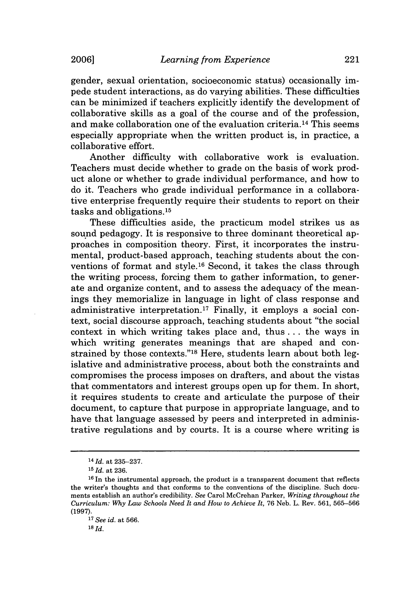gender, sexual orientation, socioeconomic status) occasionally impede student interactions, as do varying abilities. These difficulties can be minimized if teachers explicitly identify the development of collaborative skills as a goal of the course and of the profession, and make collaboration one of the evaluation criteria. 14 This seems especially appropriate when the written product is, in practice, a collaborative effort.

Another difficulty with collaborative work is evaluation. Teachers must decide whether to grade on the basis of work product alone or whether to grade individual performance, and how to do it. Teachers who grade individual performance in a collaborative enterprise frequently require their students to report on their tasks and obligations. <sup>15</sup>

These difficulties aside, the practicum model strikes us as sound pedagogy. It is responsive to three dominant theoretical approaches in composition theory. First, it incorporates the instrumental, product-based approach, teaching students about the conventions of format and style. 16 Second, it takes the class through the writing process, forcing them to gather information, to generate and organize content, and to assess the adequacy of the meanings they memorialize in language in light of class response and administrative interpretation. 17 Finally, it employs a social context, social discourse approach, teaching students about "the social context in which writing takes place and, thus.., the ways in which writing generates meanings that are shaped and constrained by those contexts."<sup>18</sup> Here, students learn about both legislative and administrative process, about both the constraints and compromises the process imposes on drafters, and about the vistas that commentators and interest groups open up for them. In short, it requires students to create and articulate the purpose of their document, to capture that purpose in appropriate language, and to have that language assessed by peers and interpreted in administrative regulations and by courts. It is a course where writing is

<sup>14</sup>*Id.* at 235-237.

**<sup>15</sup> id.** at 236.

 $16$  In the instrumental approach, the product is a transparent document that reflects the writer's thoughts and that conforms to the conventions of the discipline. Such documents establish an author's credibility. *See* Carol McCrehan Parker, *Writing throughout the Curriculum: Why Law Schools Need It and How to Achieve It,* 76 Neb. L. Rev. 561, 565-566 (1997).

<sup>17</sup>*See id.* at 566.

 $18$   $Id.$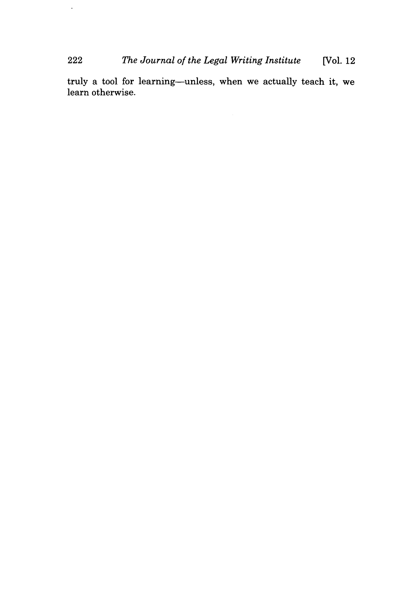# 222 *The Journal of the Legal Writing Institute* [Vol. 12

 $\hat{\mathcal{L}}$ 

truly a tool for learning-unless, when we actually teach it, we learn otherwise.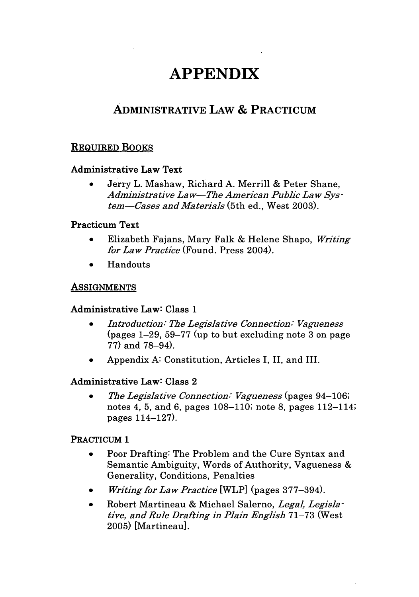# **APPENDIX**

# ADMINISTRATIVE LAW **& PRACTICUM**

# REQUIRED BOOKS

#### Administrative Law Text

\* Jerry L. Mashaw, Richard **A.** Merrill **&** Peter Shane, *Administrative Law-The American Public Law System-Cases and Materials* (5th ed., West 2003).

#### Practicum Text

- **"** Elizabeth Fajans, Mary Falk & Helene Shapo, *Writing for Law Practice* (Found. Press 2004).
- **Handouts**

## ASSIGNMENTS

#### Administrative Law: Class **1**

- *\* Introduction: The Legislative Connection: Vagueness* (pages 1-29, 59-77 (up to but excluding note 3 on page 77) and 78-94).
- \* Appendix A: Constitution, Articles I, II, and III.

#### Administrative Law: Class 2

*\* The Legislative Connection: Vagueness* (pages 94-106; notes 4, 5, and 6, pages 108-110; note 8, pages 112-114; pages 114-127).

#### PRACTICUM **1**

- \* Poor Drafting: The Problem and the Cure Syntax and Semantic Ambiguity, Words of Authority, Vagueness & Generality, Conditions, Penalties
- *\* Writing for Law Practice* [WLP] (pages 377-394).
- Robert Martineau & Michael Salerno, *Legal, Legislative, and Rule Drafting in Plain English* 71-73 (West 2005) [Martineau].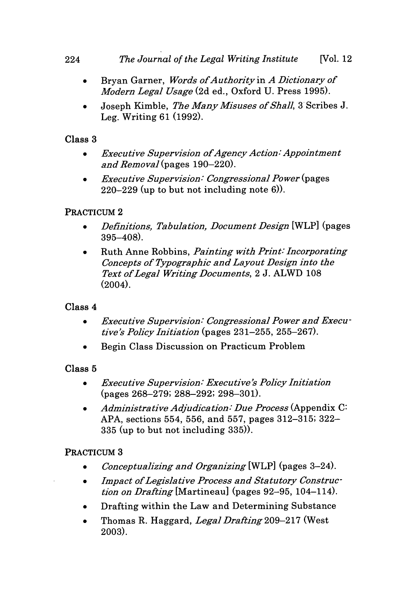# *The Journal of the Legal Writing Institute* 224 [Vol. 12

- **"** Bryan Garner, *Words ofAuthorityin A Dictionary of Modern Legal Usage* (2d ed., Oxford U. Press 1995).
- \* Joseph Kimble, *The Many Misuses of Shall,* 3 Scribes J. Leg. Writing 61 (1992).

# Class **3**

- *Executive Supervision of Agency Action: Appointment and Removal* (pages 190-220).
- *\* Executive Supervision: Congressional Power* (pages 220-229 (up to but not including note 6)).

# PRACTICUM 2

- *\* Definitions, Tabulation, Document Design* [WLP] (pages 395-408).
- \* Ruth Anne Robbins, *Painting with Print: Incorporating Concepts of Typographic and Layout Design into the Text of Legal Writing Documents,* 2 J. ALWD 108  $(2004)$ .

# Class 4

- *Executive Supervision: Congressional Power and Execu*  *tive's Policy Initiation* (pages **23** 1-255, 255-267).
- Begin Class Discussion on Practicum Problem

# Class **5**

- *\* Executive Supervision: Executive's Policy Initiation* (pages 268-279; 288-292; 298-301).
- *\* Administrative Adjudication: Due Process* (Appendix C: APA, sections 554, 556, and 557, pages 312-315; 322- 335 (up to but not including 335)).

# PRACTICUM **3**

- *\* Conceptualizing and Organizing* [WLP] (pages 3-24).
- *\* Impact of Legislative Process and Statutory Construction on Drafting* [Martineau] (pages 92-95, 104-114).
- Drafting within the Law and Determining Substance
- \* Thomas R. Haggard, *Legal Drafting 209-217* (West 2003).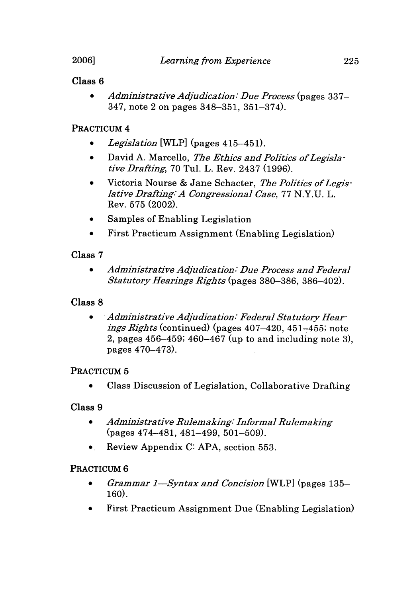# Class **6**

\* *Administrative Adjudication: Due Process* (pages 337- 347, note 2 on pages 348-351, 351-374).

# PRACTICUM 4

- \* *Legislation* [WLP] (pages 415-451).
- \* David A. Marcello, *The Ethics and Politics of Legisla*  *tive Drafting,* **70** Tul. L. Rev. 2437 (1996).
- \* Victoria Nourse & Jane Schacter, *The Politics of Legislative Drafting: A Congressional Case,* **77 N.Y.U.** L. Rev. **575** (2002).
- \* Samples of Enabling Legislation
- First Practicum Assignment (Enabling Legislation)

# Class **7**

*• Administrative Adjudication: Due Process and Federal Statutory Hearings Rights* (pages **380-386, 386-402).**

# Class **8**

 $\bullet$ *Administrative Adjudication: Federal Statutory Hearings Rights* (continued) (pages 407-420, 451-455; note 2, pages 456-459; 460-467 (up to and including note **3),** pages 470-473).

# PRACTICUM **5**

Class Discussion of Legislation, Collaborative Drafting

# Class **9**

- *\* Administrative Rulemaking: Informal Rulemaking* (pages 474-481, 481-499, 501-509).
- Review Appendix **C: APA,** section 553.

# PRACTICUM **6**

- *" Grammar 1-Syntax and Concision* [WLP] (pages 135- 160).
- **"** First Practicum Assignment Due (Enabling Legislation)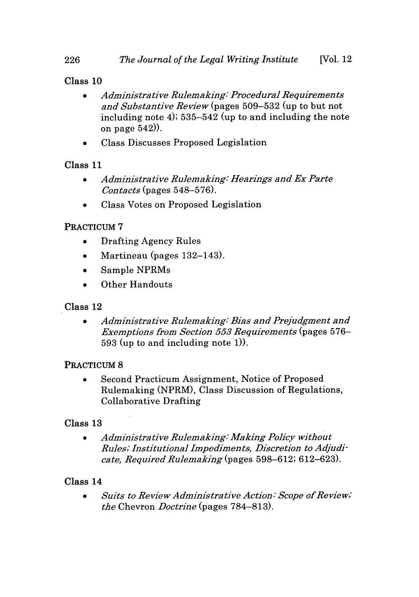# Class 10

- *\* Administrative Rulemaking. Procedural Requirements and Substantive Review* (pages 509-532 (up to but not including note 4); 535-542 (up to and including the note on page 542)).
- \* Class Discusses Proposed Legislation

# Class **11**

- *\* Administrative Rulemaking: Hearings and Ex Parte Contacts* (pages 548-576).
- Class Votes on Proposed Legislation

# PRACTICUM **7**

- \* Drafting Agency Rules
- Martineau (pages 132–143).
- \* Sample NPRMs
- Other Handouts

# Class 12

*Administrative Rulemaking: Bias and Prejudgment and Exemptions from Section 553 Requirements* (pages 576- 593 (up to and including note 1)).

# PRACTICUM **8**

Second Practicum Assignment, Notice of Proposed  $\bullet$ Rulemaking (NPRM), Class Discussion of Regulations, Collaborative Drafting

# Class **13**

*\* Administrative Rulemaking: Making Policy without Rules, Institutional Impediments, Discretion to Adjudicate, Required Rulemaking* (pages 598-612; 612-623).

# Class 14

*\* Suits to Review Administrative Action: Scope of Review; the* Chevron *Doctrine* (pages 784-813).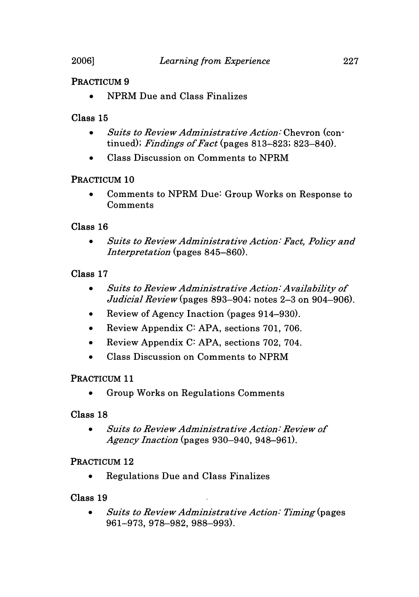#### PRACTICUM **9**

**\*** NPRM Due and Class Finalizes

#### Class **15**

- *\* Suits to Review Administrative Action:* Chevron (continued); *Findings of Fact* (pages 813-823; 823-840).
- \* Class Discussion on Comments to NPRM

#### PRACTICUM **10**

\* Comments to NPRM Due: Group Works on Response to Comments

#### Class **16**

*\* Suits to Review Administrative Action: Fact, Policy and Interpretation* (pages 845-860).

## Class **17**

- *\* Suits to Review Administrative Action: Availability of Judicial Review (pages* 893-904; notes 2-3 on 904-906).
- Review of Agency Inaction (pages 914–930).
- \* Review Appendix C: APA, sections 701, 706.
- \* Review Appendix C: APA, sections 702, 704.
- \* Class Discussion on Comments to NPRM

#### PRACTICUM **11**

Group Works on Regulations Comments

#### Class **18**

*\* Suits to Review Administrative Action: Review of Agency Inaction* (pages 930-940, 948-961).

#### PRACTICUM **12**

**0** Regulations Due and Class Finalizes

#### Class 19

*\* Suits to Review Administrative Action: Timing (pages* 961-973, 978-982, 988-993).